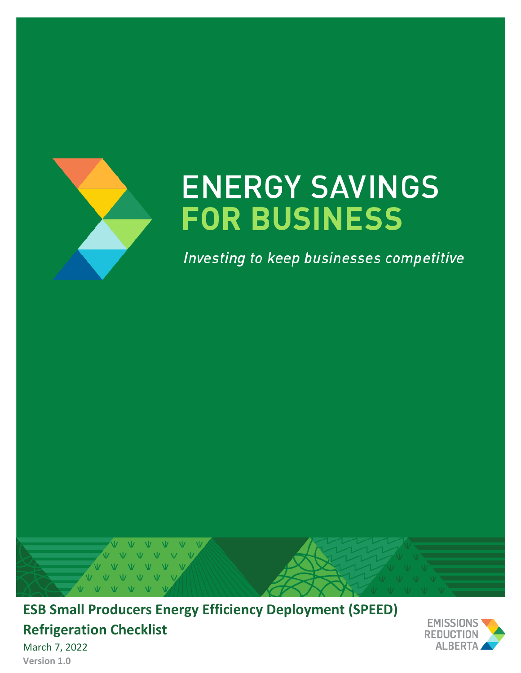

# **ENERGY SAVINGS FOR BUSINESS**

Investing to keep businesses competitive



**ESB Small Producers Energy Efficiency Deployment (SPEED) Refrigeration Checklist**



March 7, 2022 **Version 1.0**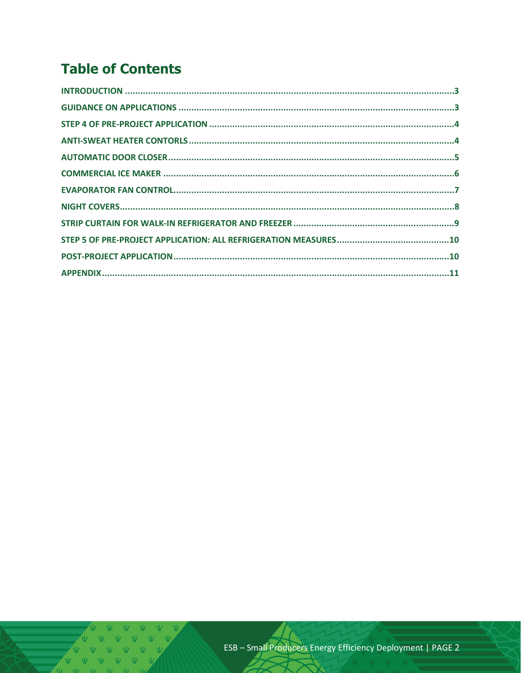# **Table of Contents**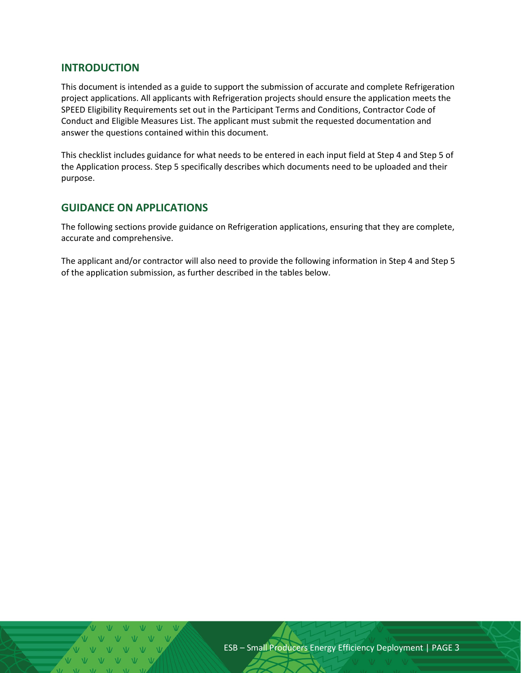#### <span id="page-2-0"></span>**INTRODUCTION**

This document is intended as a guide to support the submission of accurate and complete Refrigeration project applications. All applicants with Refrigeration projects should ensure the application meets the SPEED Eligibility Requirements set out in the Participant Terms and Conditions, Contractor Code of Conduct and Eligible Measures List. The applicant must submit the requested documentation and answer the questions contained within this document.

This checklist includes guidance for what needs to be entered in each input field at Step 4 and Step 5 of the Application process. Step 5 specifically describes which documents need to be uploaded and their purpose.

#### <span id="page-2-1"></span>**GUIDANCE ON APPLICATIONS**

The following sections provide guidance on Refrigeration applications, ensuring that they are complete, accurate and comprehensive.

The applicant and/or contractor will also need to provide the following information in Step 4 and Step 5 of the application submission, as further described in the tables below.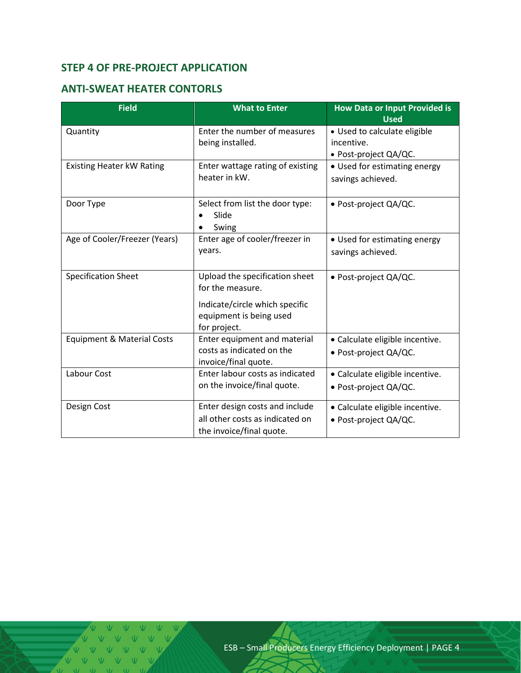# <span id="page-3-0"></span>**STEP 4 OF PRE-PROJECT APPLICATION**

#### <span id="page-3-1"></span>**ANTI-SWEAT HEATER CONTORLS**

| <b>Field</b>                          | <b>What to Enter</b>                              | How Data or Input Provided is<br><b>Used</b> |  |
|---------------------------------------|---------------------------------------------------|----------------------------------------------|--|
| Quantity                              | Enter the number of measures                      | • Used to calculate eligible                 |  |
|                                       | being installed.                                  | incentive.                                   |  |
|                                       |                                                   | • Post-project QA/QC.                        |  |
| <b>Existing Heater kW Rating</b>      | Enter wattage rating of existing<br>heater in kW. | • Used for estimating energy                 |  |
|                                       |                                                   | savings achieved.                            |  |
| Door Type                             | Select from list the door type:                   | · Post-project QA/QC.                        |  |
|                                       | Slide                                             |                                              |  |
|                                       | Swing                                             |                                              |  |
| Age of Cooler/Freezer (Years)         | Enter age of cooler/freezer in                    | • Used for estimating energy                 |  |
|                                       | years.                                            | savings achieved.                            |  |
|                                       |                                                   |                                              |  |
| <b>Specification Sheet</b>            | Upload the specification sheet                    | · Post-project QA/QC.                        |  |
|                                       | for the measure.                                  |                                              |  |
|                                       | Indicate/circle which specific                    |                                              |  |
|                                       | equipment is being used                           |                                              |  |
|                                       | for project.                                      |                                              |  |
| <b>Equipment &amp; Material Costs</b> | Enter equipment and material                      | · Calculate eligible incentive.              |  |
|                                       | costs as indicated on the                         | · Post-project QA/QC.                        |  |
|                                       | invoice/final quote.                              |                                              |  |
| Labour Cost                           | Enter labour costs as indicated                   | • Calculate eligible incentive.              |  |
|                                       | on the invoice/final quote.                       | · Post-project QA/QC.                        |  |
| Design Cost                           | Enter design costs and include                    | • Calculate eligible incentive.              |  |
|                                       | all other costs as indicated on                   | · Post-project QA/QC.                        |  |
|                                       | the invoice/final quote.                          |                                              |  |

VVVV VVVVV  $V \dot{V}$   $V$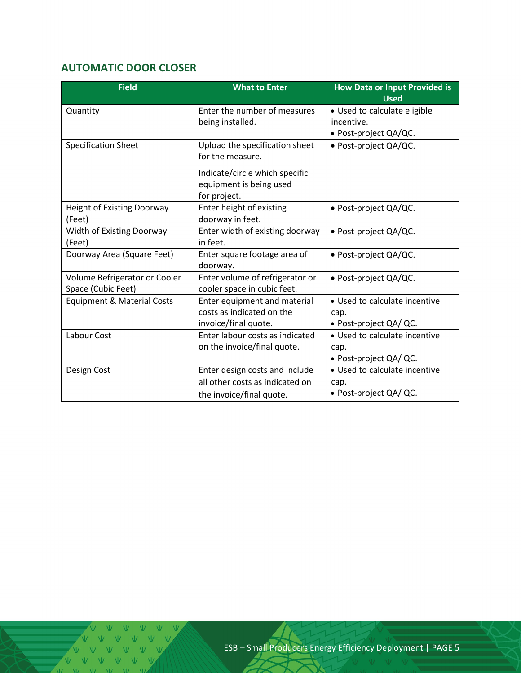# <span id="page-4-0"></span>**AUTOMATIC DOOR CLOSER**

| <b>Field</b>                          | <b>What to Enter</b>            | <b>How Data or Input Provided is</b><br><b>Used</b> |  |
|---------------------------------------|---------------------------------|-----------------------------------------------------|--|
| Quantity                              | Enter the number of measures    | • Used to calculate eligible                        |  |
|                                       | being installed.                | incentive.                                          |  |
|                                       |                                 | • Post-project QA/QC.                               |  |
| <b>Specification Sheet</b>            | Upload the specification sheet  | • Post-project QA/QC.                               |  |
|                                       | for the measure.                |                                                     |  |
|                                       | Indicate/circle which specific  |                                                     |  |
|                                       | equipment is being used         |                                                     |  |
|                                       | for project.                    |                                                     |  |
| Height of Existing Doorway            | Enter height of existing        | · Post-project QA/QC.                               |  |
| (Feet)                                | doorway in feet.                |                                                     |  |
| Width of Existing Doorway             | Enter width of existing doorway | · Post-project QA/QC.                               |  |
| (Feet)                                | in feet.                        |                                                     |  |
| Doorway Area (Square Feet)            | Enter square footage area of    | • Post-project QA/QC.                               |  |
|                                       | doorway.                        |                                                     |  |
| Volume Refrigerator or Cooler         | Enter volume of refrigerator or | · Post-project QA/QC.                               |  |
| Space (Cubic Feet)                    | cooler space in cubic feet.     |                                                     |  |
| <b>Equipment &amp; Material Costs</b> | Enter equipment and material    | • Used to calculate incentive                       |  |
|                                       | costs as indicated on the       | cap.                                                |  |
|                                       | invoice/final quote.            | · Post-project QA/ QC.                              |  |
| Labour Cost                           | Enter labour costs as indicated | • Used to calculate incentive                       |  |
|                                       | on the invoice/final quote.     | cap.                                                |  |
|                                       |                                 | • Post-project QA/ QC.                              |  |
| Design Cost                           | Enter design costs and include  | • Used to calculate incentive                       |  |
|                                       | all other costs as indicated on | cap.                                                |  |
|                                       | the invoice/final quote.        | • Post-project QA/ QC.                              |  |

V V V V V V VVVVV  $NZ - NZ$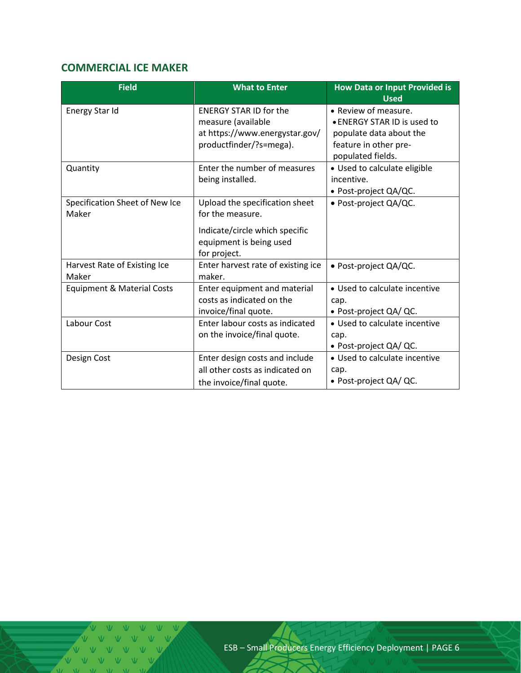# <span id="page-5-0"></span>**COMMERCIAL ICE MAKER**

| <b>Field</b>                          | <b>What to Enter</b>               | <b>How Data or Input Provided is</b><br><b>Used</b> |  |
|---------------------------------------|------------------------------------|-----------------------------------------------------|--|
| Energy Star Id                        | <b>ENERGY STAR ID for the</b>      | • Review of measure.                                |  |
|                                       | measure (available                 | • ENERGY STAR ID is used to                         |  |
|                                       | at https://www.energystar.gov/     | populate data about the                             |  |
|                                       | productfinder/?s=mega).            | feature in other pre-                               |  |
|                                       |                                    | populated fields.                                   |  |
| Quantity                              | Enter the number of measures       | • Used to calculate eligible                        |  |
|                                       | being installed.                   | incentive.                                          |  |
|                                       |                                    | • Post-project QA/QC.                               |  |
| Specification Sheet of New Ice        | Upload the specification sheet     | · Post-project QA/QC.                               |  |
| Maker                                 | for the measure.                   |                                                     |  |
|                                       | Indicate/circle which specific     |                                                     |  |
|                                       | equipment is being used            |                                                     |  |
|                                       | for project.                       |                                                     |  |
| Harvest Rate of Existing Ice          | Enter harvest rate of existing ice | · Post-project QA/QC.                               |  |
| Maker                                 | maker.                             |                                                     |  |
| <b>Equipment &amp; Material Costs</b> | Enter equipment and material       | • Used to calculate incentive                       |  |
|                                       | costs as indicated on the          | cap.                                                |  |
|                                       | invoice/final quote.               | • Post-project QA/ QC.                              |  |
| Labour Cost                           | Enter labour costs as indicated    | • Used to calculate incentive                       |  |
|                                       | on the invoice/final quote.        | cap.                                                |  |
|                                       |                                    | • Post-project QA/ QC.                              |  |
| Design Cost                           | Enter design costs and include     | • Used to calculate incentive                       |  |
|                                       | all other costs as indicated on    | cap.                                                |  |
|                                       | the invoice/final quote.           | • Post-project QA/ QC.                              |  |

V V V V V V V V V V V V  $\begin{array}{ccccccccccccccccc} \mathsf{V} & \mathsf{V} & \mathsf{V} & \mathsf{V} & \mathsf{V} & \mathsf{V} \end{array}$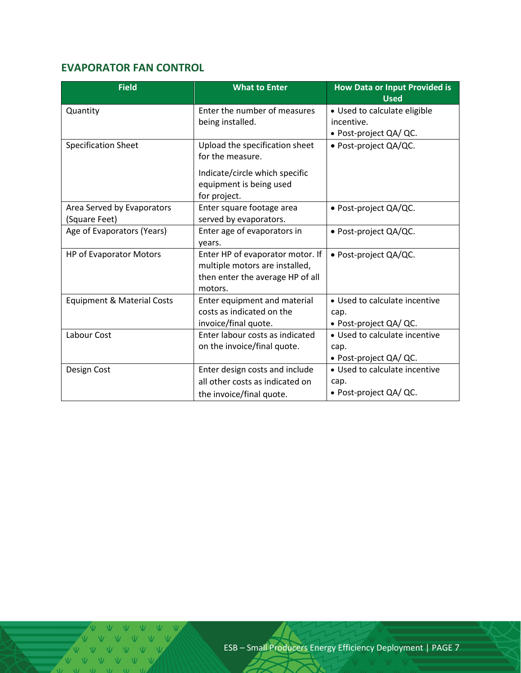#### <span id="page-6-0"></span>**EVAPORATOR FAN CONTROL**

| <b>Field</b>               | <b>What to Enter</b>             | <b>How Data or Input Provided is</b><br><b>Used</b> |  |
|----------------------------|----------------------------------|-----------------------------------------------------|--|
| Quantity                   | Enter the number of measures     | · Used to calculate eligible                        |  |
|                            | being installed.                 | incentive.                                          |  |
|                            |                                  | • Post-project QA/ QC.                              |  |
| <b>Specification Sheet</b> | Upload the specification sheet   | · Post-project QA/QC.                               |  |
|                            | for the measure.                 |                                                     |  |
|                            | Indicate/circle which specific   |                                                     |  |
|                            | equipment is being used          |                                                     |  |
|                            | for project.                     |                                                     |  |
| Area Served by Evaporators | Enter square footage area        | · Post-project QA/QC.                               |  |
| (Square Feet)              | served by evaporators.           |                                                     |  |
| Age of Evaporators (Years) | Enter age of evaporators in      | · Post-project QA/QC.                               |  |
|                            | years.                           |                                                     |  |
| HP of Evaporator Motors    | Enter HP of evaporator motor. If | • Post-project QA/QC.                               |  |
|                            | multiple motors are installed,   |                                                     |  |
|                            | then enter the average HP of all |                                                     |  |
|                            | motors.                          |                                                     |  |
| Equipment & Material Costs | Enter equipment and material     | • Used to calculate incentive                       |  |
|                            | costs as indicated on the        | cap.                                                |  |
|                            | invoice/final quote.             | • Post-project QA/ QC.                              |  |
| Labour Cost                | Enter labour costs as indicated  | • Used to calculate incentive                       |  |
|                            | on the invoice/final quote.      | cap.                                                |  |
|                            |                                  | • Post-project QA/ QC.                              |  |
| Design Cost                | Enter design costs and include   | • Used to calculate incentive                       |  |
|                            | all other costs as indicated on  | cap.                                                |  |
|                            | the invoice/final quote.         | • Post-project QA/ QC.                              |  |

V V V V V V V VVVVV  $V = W - W$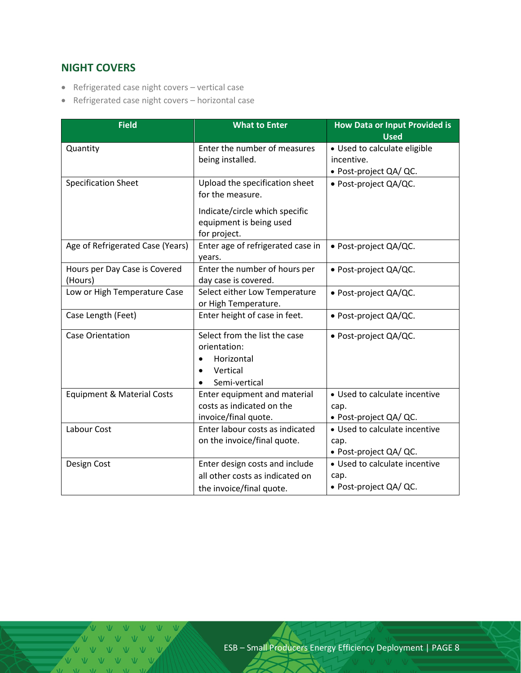## <span id="page-7-0"></span>**NIGHT COVERS**

- Refrigerated case night covers vertical case
- Refrigerated case night covers horizontal case

| <b>Field</b>                             | <b>What to Enter</b>                                                                                               | <b>How Data or Input Provided is</b><br><b>Used</b>                  |  |
|------------------------------------------|--------------------------------------------------------------------------------------------------------------------|----------------------------------------------------------------------|--|
| Quantity                                 | Enter the number of measures<br>being installed.                                                                   | • Used to calculate eligible<br>incentive.<br>· Post-project QA/ QC. |  |
| <b>Specification Sheet</b>               | Upload the specification sheet<br>for the measure.                                                                 | · Post-project QA/QC.                                                |  |
|                                          | Indicate/circle which specific<br>equipment is being used<br>for project.                                          |                                                                      |  |
| Age of Refrigerated Case (Years)         | Enter age of refrigerated case in<br>years.                                                                        | · Post-project QA/QC.                                                |  |
| Hours per Day Case is Covered<br>(Hours) | Enter the number of hours per<br>day case is covered.                                                              | · Post-project QA/QC.                                                |  |
| Low or High Temperature Case             | Select either Low Temperature<br>or High Temperature.                                                              | · Post-project QA/QC.                                                |  |
| Case Length (Feet)                       | Enter height of case in feet.                                                                                      | · Post-project QA/QC.                                                |  |
| <b>Case Orientation</b>                  | Select from the list the case<br>orientation:<br>Horizontal<br>$\bullet$<br>Vertical<br>Semi-vertical<br>$\bullet$ | · Post-project QA/QC.                                                |  |
| <b>Equipment &amp; Material Costs</b>    | Enter equipment and material<br>costs as indicated on the<br>invoice/final quote.                                  | • Used to calculate incentive<br>cap.<br>· Post-project QA/ QC.      |  |
| Labour Cost                              | Enter labour costs as indicated<br>on the invoice/final quote.                                                     | • Used to calculate incentive<br>cap.<br>· Post-project QA/ QC.      |  |
| Design Cost                              | Enter design costs and include<br>all other costs as indicated on<br>the invoice/final quote.                      | • Used to calculate incentive<br>cap.<br>· Post-project QA/ QC.      |  |

V V V V V V V V V V V V V V V V V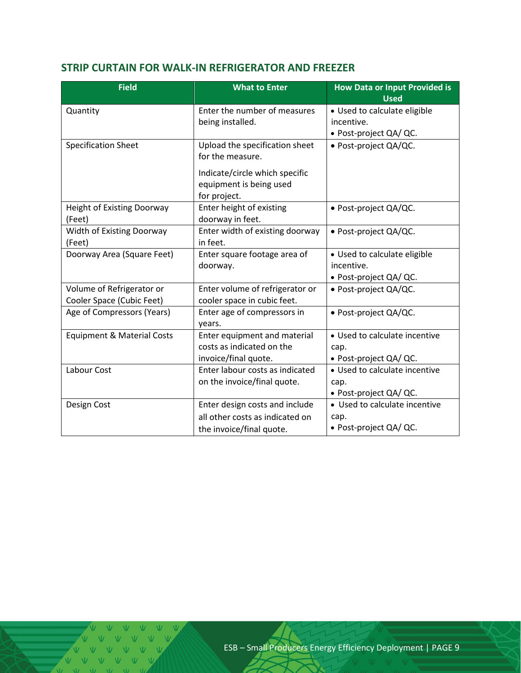# <span id="page-8-0"></span>**STRIP CURTAIN FOR WALK-IN REFRIGERATOR AND FREEZER**

| <b>Field</b>                                           | <b>What to Enter</b>                                                                                                            | <b>How Data or Input Provided is</b><br><b>Used</b>                  |  |
|--------------------------------------------------------|---------------------------------------------------------------------------------------------------------------------------------|----------------------------------------------------------------------|--|
| Quantity                                               | Enter the number of measures<br>being installed.                                                                                | • Used to calculate eligible<br>incentive.<br>• Post-project QA/ QC. |  |
| <b>Specification Sheet</b>                             | Upload the specification sheet<br>for the measure.<br>Indicate/circle which specific<br>equipment is being used<br>for project. | · Post-project QA/QC.                                                |  |
| Height of Existing Doorway<br>(Feet)                   | Enter height of existing<br>doorway in feet.                                                                                    | · Post-project QA/QC.                                                |  |
| Width of Existing Doorway<br>(Feet)                    | Enter width of existing doorway<br>in feet.                                                                                     | · Post-project QA/QC.                                                |  |
| Doorway Area (Square Feet)                             | Enter square footage area of<br>doorway.                                                                                        | • Used to calculate eligible<br>incentive.<br>• Post-project QA/ QC. |  |
| Volume of Refrigerator or<br>Cooler Space (Cubic Feet) | Enter volume of refrigerator or<br>cooler space in cubic feet.                                                                  | · Post-project QA/QC.                                                |  |
| Age of Compressors (Years)                             | Enter age of compressors in<br>years.                                                                                           | · Post-project QA/QC.                                                |  |
| <b>Equipment &amp; Material Costs</b>                  | Enter equipment and material<br>costs as indicated on the<br>invoice/final quote.                                               | • Used to calculate incentive<br>cap.<br>· Post-project QA/ QC.      |  |
| Labour Cost                                            | Enter labour costs as indicated<br>on the invoice/final quote.                                                                  | • Used to calculate incentive<br>cap.<br>· Post-project QA/ QC.      |  |
| Design Cost                                            | Enter design costs and include<br>all other costs as indicated on<br>the invoice/final quote.                                   | • Used to calculate incentive<br>cap.<br>· Post-project QA/ QC.      |  |

 $V$   $V$   $V$ VVVV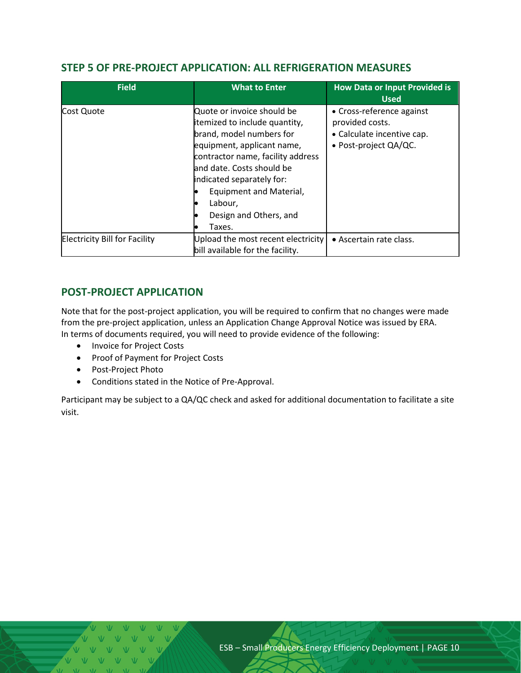#### <span id="page-9-0"></span>**STEP 5 OF PRE-PROJECT APPLICATION: ALL REFRIGERATION MEASURES**

| <b>Field</b>                         | <b>What to Enter</b>                                                                                                                                                                                                                                                                           | <b>How Data or Input Provided is</b><br><b>Used</b>                                                 |
|--------------------------------------|------------------------------------------------------------------------------------------------------------------------------------------------------------------------------------------------------------------------------------------------------------------------------------------------|-----------------------------------------------------------------------------------------------------|
| Cost Quote                           | Quote or invoice should be<br>itemized to include quantity,<br>brand, model numbers for<br>equipment, applicant name,<br>contractor name, facility address<br>and date. Costs should be<br>indicated separately for:<br>Equipment and Material,<br>Labour,<br>Design and Others, and<br>Taxes. | • Cross-reference against<br>provided costs.<br>• Calculate incentive cap.<br>• Post-project QA/QC. |
| <b>Electricity Bill for Facility</b> | Upload the most recent electricity<br>bill available for the facility.                                                                                                                                                                                                                         | • Ascertain rate class.                                                                             |

#### <span id="page-9-1"></span>**POST-PROJECT APPLICATION**

Note that for the post-project application, you will be required to confirm that no changes were made from the pre-project application, unless an Application Change Approval Notice was issued by ERA. In terms of documents required, you will need to provide evidence of the following:

- Invoice for Project Costs
- Proof of Payment for Project Costs
- Post-Project Photo
- Conditions stated in the Notice of Pre-Approval.

Participant may be subject to a QA/QC check and asked for additional documentation to facilitate a site visit.